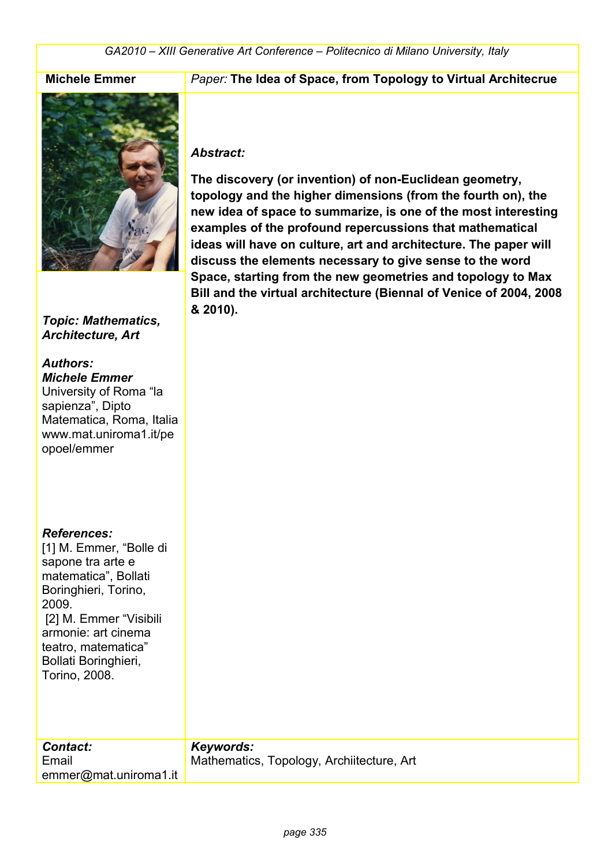**Michele Emmer** *Paper:* **The Idea of Space, from Topology to Virtual Architecrue**



# *Topic: Mathematics, Architecture, Art*

# *Authors:*

*Michele Emmer* University of Roma "la sapienza", Dipto Matematica, Roma, Italia www.mat.uniroma1.it/pe opoel/emmer

#### *Abstract:*

**The discovery (or invention) of non-Euclidean geometry, topology and the higher dimensions (from the fourth on), the new idea of space to summarize, is one of the most interesting examples of the profound repercussions that mathematical ideas will have on culture, art and architecture. The paper will discuss the elements necessary to give sense to the word Space, starting from the new geometries and topology to Max Bill and the virtual architecture (Biennal of Venice of 2004, 2008 & 2010).**

| Matematica, Roma, Italia<br>www.mat.uniroma1.it/pe<br>opoel/emmer<br><b>References:</b><br>[1] M. Emmer, "Bolle di<br>sapone tra arte e<br>matematica", Bollati<br>Boringhieri, Torino,<br>2009.<br>[2] M. Emmer "Visibili<br>armonie: art cinema<br>teatro, matematica"<br>Bollati Boringhieri,<br>Torino, 2008. |                                                        |
|-------------------------------------------------------------------------------------------------------------------------------------------------------------------------------------------------------------------------------------------------------------------------------------------------------------------|--------------------------------------------------------|
| <b>Contact:</b><br>Email<br>emmer@mat.uniroma1.it                                                                                                                                                                                                                                                                 | Keywords:<br>Mathematics, Topology, Archiitecture, Art |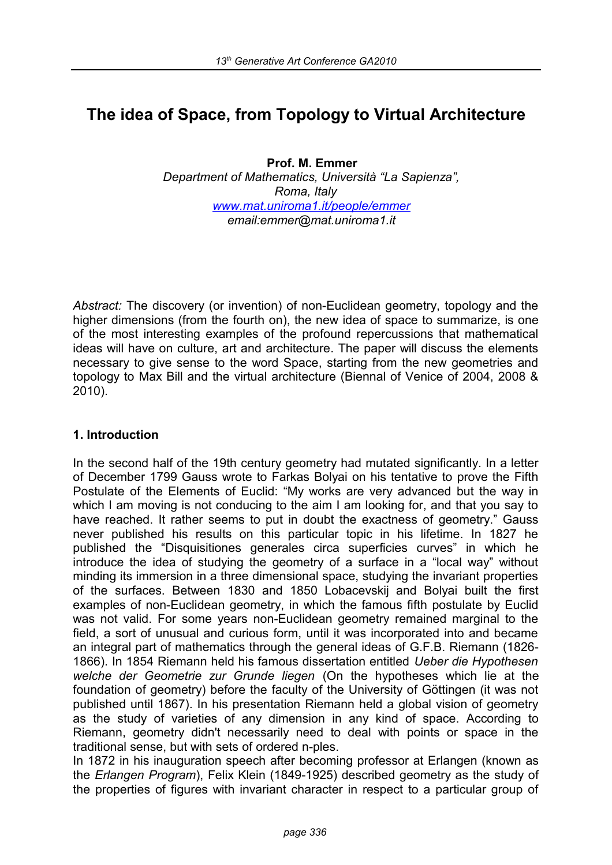# **The idea of Space, from Topology to Virtual Architecture**

**Prof. M. Emmer** *Department of Mathematics, Università "La Sapienza", Roma, Italy [www.mat.uniroma1.it/people/emmer](http://www.mat.uniroma1.it/people/emmer) email:emmer@mat.uniroma1.it*

*Abstract:* The discovery (or invention) of non-Euclidean geometry, topology and the higher dimensions (from the fourth on), the new idea of space to summarize, is one of the most interesting examples of the profound repercussions that mathematical ideas will have on culture, art and architecture. The paper will discuss the elements necessary to give sense to the word Space, starting from the new geometries and topology to Max Bill and the virtual architecture (Biennal of Venice of 2004, 2008 & 2010).

### **1. Introduction**

In the second half of the 19th century geometry had mutated significantly. In a letter of December 1799 Gauss wrote to Farkas Bolyai on his tentative to prove the Fifth Postulate of the Elements of Euclid: "My works are very advanced but the way in which I am moving is not conducing to the aim I am looking for, and that you say to have reached. It rather seems to put in doubt the exactness of geometry." Gauss never published his results on this particular topic in his lifetime. In 1827 he published the "Disquisitiones generales circa superficies curves" in which he introduce the idea of studying the geometry of a surface in a "local way" without minding its immersion in a three dimensional space, studying the invariant properties of the surfaces. Between 1830 and 1850 Lobacevskij and Bolyai built the first examples of non-Euclidean geometry, in which the famous fifth postulate by Euclid was not valid. For some years non-Euclidean geometry remained marginal to the field, a sort of unusual and curious form, until it was incorporated into and became an integral part of mathematics through the general ideas of G.F.B. Riemann (1826- 1866). In 1854 Riemann held his famous dissertation entitled *Ueber die Hypothesen welche der Geometrie zur Grunde liegen* (On the hypotheses which lie at the foundation of geometry) before the faculty of the University of Göttingen (it was not published until 1867). In his presentation Riemann held a global vision of geometry as the study of varieties of any dimension in any kind of space. According to Riemann, geometry didn't necessarily need to deal with points or space in the traditional sense, but with sets of ordered n-ples.

In 1872 in his inauguration speech after becoming professor at Erlangen (known as the *Erlangen Program*), Felix Klein (1849-1925) described geometry as the study of the properties of figures with invariant character in respect to a particular group of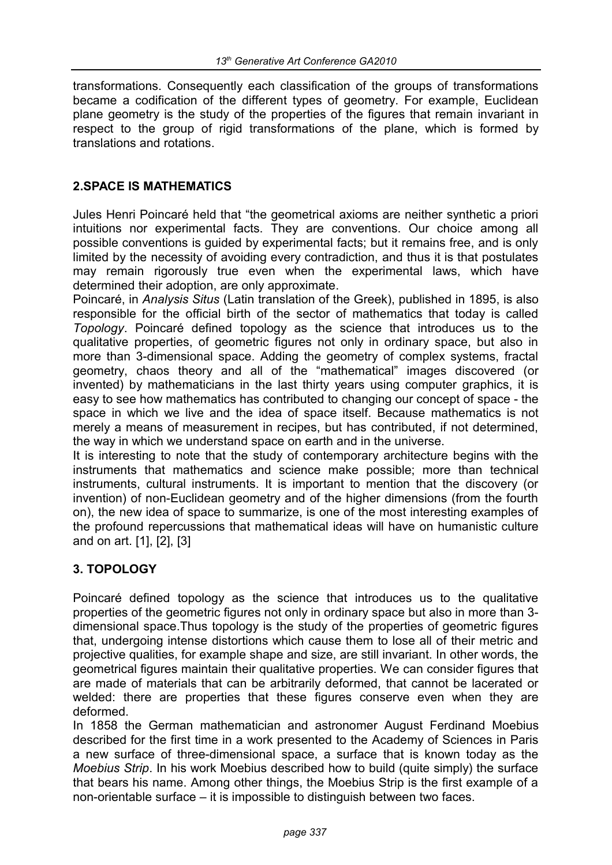transformations. Consequently each classification of the groups of transformations became a codification of the different types of geometry. For example, Euclidean plane geometry is the study of the properties of the figures that remain invariant in respect to the group of rigid transformations of the plane, which is formed by translations and rotations.

# **2.SPACE IS MATHEMATICS**

Jules Henri Poincaré held that "the geometrical axioms are neither synthetic a priori intuitions nor experimental facts. They are conventions. Our choice among all possible conventions is guided by experimental facts; but it remains free, and is only limited by the necessity of avoiding every contradiction, and thus it is that postulates may remain rigorously true even when the experimental laws, which have determined their adoption, are only approximate.

Poincaré, in *Analysis Situs* (Latin translation of the Greek), published in 1895, is also responsible for the official birth of the sector of mathematics that today is called *Topology*. Poincaré defined topology as the science that introduces us to the qualitative properties, of geometric figures not only in ordinary space, but also in more than 3-dimensional space. Adding the geometry of complex systems, fractal geometry, chaos theory and all of the "mathematical" images discovered (or invented) by mathematicians in the last thirty years using computer graphics, it is easy to see how mathematics has contributed to changing our concept of space - the space in which we live and the idea of space itself. Because mathematics is not merely a means of measurement in recipes, but has contributed, if not determined, the way in which we understand space on earth and in the universe.

It is interesting to note that the study of contemporary architecture begins with the instruments that mathematics and science make possible; more than technical instruments, cultural instruments. It is important to mention that the discovery (or invention) of non-Euclidean geometry and of the higher dimensions (from the fourth on), the new idea of space to summarize, is one of the most interesting examples of the profound repercussions that mathematical ideas will have on humanistic culture and on art. [1], [2], [3]

# **3. TOPOLOGY**

Poincaré defined topology as the science that introduces us to the qualitative properties of the geometric figures not only in ordinary space but also in more than 3 dimensional space.Thus topology is the study of the properties of geometric figures that, undergoing intense distortions which cause them to lose all of their metric and projective qualities, for example shape and size, are still invariant. In other words, the geometrical figures maintain their qualitative properties. We can consider figures that are made of materials that can be arbitrarily deformed, that cannot be lacerated or welded: there are properties that these figures conserve even when they are deformed.

In 1858 the German mathematician and astronomer August Ferdinand Moebius described for the first time in a work presented to the Academy of Sciences in Paris a new surface of three-dimensional space, a surface that is known today as the *Moebius Strip*. In his work Moebius described how to build (quite simply) the surface that bears his name. Among other things, the Moebius Strip is the first example of a non-orientable surface – it is impossible to distinguish between two faces.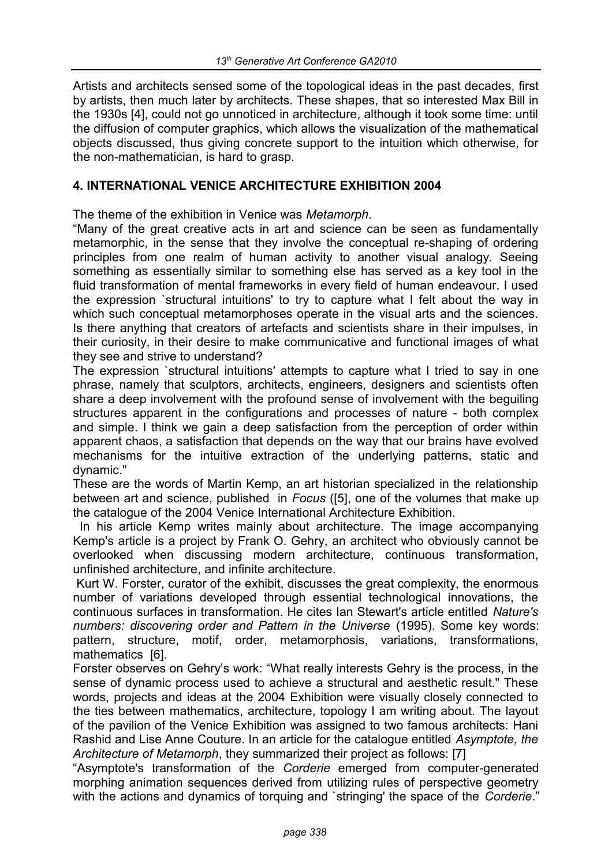Artists and architects sensed some of the topological ideas in the past decades, first by artists, then much later by architects. These shapes, that so interested Max Bill in the 1930s [4], could not go unnoticed in architecture, although it took some time: until the diffusion of computer graphics, which allows the visualization of the mathematical objects discussed, thus giving concrete support to the intuition which otherwise, for the non-mathematician, is hard to grasp.

#### **4. INTERNATIONAL VENICE ARCHITECTURE EXHIBITION 2004**

The theme of the exhibition in Venice was *Metamorph*.

"Many of the great creative acts in art and science can be seen as fundamentally metamorphic, in the sense that they involve the conceptual re-shaping of ordering principles from one realm of human activity to another visual analogy. Seeing something as essentially similar to something else has served as a key tool in the fluid transformation of mental frameworks in every field of human endeavour. I used the expression `structural intuitions' to try to capture what I felt about the way in which such conceptual metamorphoses operate in the visual arts and the sciences. Is there anything that creators of artefacts and scientists share in their impulses, in their curiosity, in their desire to make communicative and functional images of what they see and strive to understand?

The expression `structural intuitions' attempts to capture what I tried to say in one phrase, namely that sculptors, architects, engineers, designers and scientists often share a deep involvement with the profound sense of involvement with the beguiling structures apparent in the configurations and processes of nature - both complex and simple. I think we gain a deep satisfaction from the perception of order within apparent chaos, a satisfaction that depends on the way that our brains have evolved mechanisms for the intuitive extraction of the underlying patterns, static and dynamic."

These are the words of Martin Kemp, an art historian specialized in the relationship between art and science, published in *Focus* ([5], one of the volumes that make up the catalogue of the 2004 Venice International Architecture Exhibition.

 In his article Kemp writes mainly about architecture. The image accompanying Kemp's article is a project by Frank O. Gehry, an architect who obviously cannot be overlooked when discussing modern architecture, continuous transformation, unfinished architecture, and infinite architecture.

 Kurt W. Forster, curator of the exhibit, discusses the great complexity, the enormous number of variations developed through essential technological innovations, the continuous surfaces in transformation. He cites Ian Stewart's article entitled *Nature's numbers: discovering order and Pattern in the Universe* (1995). Some key words: pattern, structure, motif, order, metamorphosis, variations, transformations, mathematics [6].

Forster observes on Gehry's work: "What really interests Gehry is the process, in the sense of dynamic process used to achieve a structural and aesthetic result." These words, projects and ideas at the 2004 Exhibition were visually closely connected to the ties between mathematics, architecture, topology I am writing about. The layout of the pavilion of the Venice Exhibition was assigned to two famous architects: Hani Rashid and Lise Anne Couture. In an article for the catalogue entitled *Asymptote, the Architecture of Metamorph*, they summarized their project as follows: [7]

"Asymptote's transformation of the *Corderie* emerged from computer-generated morphing animation sequences derived from utilizing rules of perspective geometry with the actions and dynamics of torquing and `stringing' the space of the *Corderie*."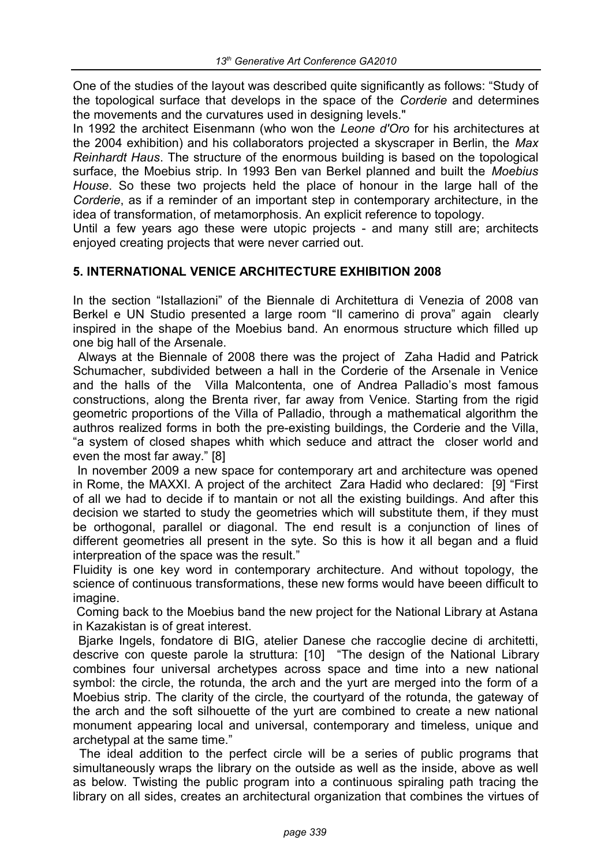One of the studies of the layout was described quite significantly as follows: "Study of the topological surface that develops in the space of the *Corderie* and determines the movements and the curvatures used in designing levels."

In 1992 the architect Eisenmann (who won the *Leone d'Oro* for his architectures at the 2004 exhibition) and his collaborators projected a skyscraper in Berlin, the *Max Reinhardt Haus*. The structure of the enormous building is based on the topological surface, the Moebius strip. In 1993 Ben van Berkel planned and built the *Moebius House*. So these two projects held the place of honour in the large hall of the *Corderie*, as if a reminder of an important step in contemporary architecture, in the idea of transformation, of metamorphosis. An explicit reference to topology.

Until a few years ago these were utopic projects - and many still are; architects enjoyed creating projects that were never carried out.

#### **5. INTERNATIONAL VENICE ARCHITECTURE EXHIBITION 2008**

In the section "Istallazioni" of the Biennale di Architettura di Venezia of 2008 van Berkel e UN Studio presented a large room "Il camerino di prova" again clearly inspired in the shape of the Moebius band. An enormous structure which filled up one big hall of the Arsenale.

Always at the Biennale of 2008 there was the project of Zaha Hadid and Patrick Schumacher, subdivided between a hall in the Corderie of the Arsenale in Venice and the halls of the Villa Malcontenta, one of Andrea Palladio's most famous constructions, along the Brenta river, far away from Venice. Starting from the rigid geometric proportions of the Villa of Palladio, through a mathematical algorithm the authros realized forms in both the pre-existing buildings, the Corderie and the Villa, "a system of closed shapes whith which seduce and attract the closer world and even the most far away." [8]

 In november 2009 a new space for contemporary art and architecture was opened in Rome, the MAXXI. A project of the architect Zara Hadid who declared: [9] "First of all we had to decide if to mantain or not all the existing buildings. And after this decision we started to study the geometries which will substitute them, if they must be orthogonal, parallel or diagonal. The end result is a conjunction of lines of different geometries all present in the syte. So this is how it all began and a fluid interpreation of the space was the result."

Fluidity is one key word in contemporary architecture. And without topology, the science of continuous transformations, these new forms would have beeen difficult to imagine.

 Coming back to the Moebius band the new project for the National Library at Astana in Kazakistan is of great interest.

 Bjarke Ingels, fondatore di BIG, atelier Danese che raccoglie decine di architetti, descrive con queste parole la struttura: [10] "The design of the National Library combines four universal archetypes across space and time into a new national symbol: the circle, the rotunda, the arch and the yurt are merged into the form of a Moebius strip. The clarity of the circle, the courtyard of the rotunda, the gateway of the arch and the soft silhouette of the yurt are combined to create a new national monument appearing local and universal, contemporary and timeless, unique and archetypal at the same time."

 The ideal addition to the perfect circle will be a series of public programs that simultaneously wraps the library on the outside as well as the inside, above as well as below. Twisting the public program into a continuous spiraling path tracing the library on all sides, creates an architectural organization that combines the virtues of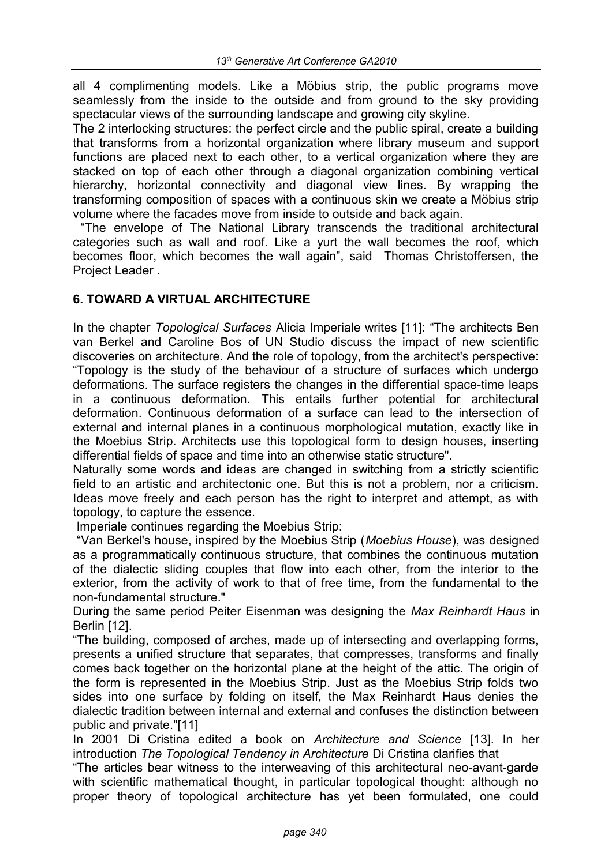all 4 complimenting models. Like a Möbius strip, the public programs move seamlessly from the inside to the outside and from ground to the sky providing spectacular views of the surrounding landscape and growing city skyline.

The 2 interlocking structures: the perfect circle and the public spiral, create a building that transforms from a horizontal organization where library museum and support functions are placed next to each other, to a vertical organization where they are stacked on top of each other through a diagonal organization combining vertical hierarchy, horizontal connectivity and diagonal view lines. By wrapping the transforming composition of spaces with a continuous skin we create a Möbius strip volume where the facades move from inside to outside and back again.

 "The envelope of The National Library transcends the traditional architectural categories such as wall and roof. Like a yurt the wall becomes the roof, which becomes floor, which becomes the wall again", said Thomas Christoffersen, the Project Leader .

# **6. TOWARD A VIRTUAL ARCHITECTURE**

In the chapter *Topological Surfaces* Alicia Imperiale writes [11]: "The architects Ben van Berkel and Caroline Bos of UN Studio discuss the impact of new scientific discoveries on architecture. And the role of topology, from the architect's perspective: "Topology is the study of the behaviour of a structure of surfaces which undergo deformations. The surface registers the changes in the differential space-time leaps in a continuous deformation. This entails further potential for architectural deformation. Continuous deformation of a surface can lead to the intersection of external and internal planes in a continuous morphological mutation, exactly like in the Moebius Strip. Architects use this topological form to design houses, inserting differential fields of space and time into an otherwise static structure".

Naturally some words and ideas are changed in switching from a strictly scientific field to an artistic and architectonic one. But this is not a problem, nor a criticism. Ideas move freely and each person has the right to interpret and attempt, as with topology, to capture the essence.

Imperiale continues regarding the Moebius Strip:

 "Van Berkel's house, inspired by the Moebius Strip (*Moebius House*), was designed as a programmatically continuous structure, that combines the continuous mutation of the dialectic sliding couples that flow into each other, from the interior to the exterior, from the activity of work to that of free time, from the fundamental to the non-fundamental structure."

During the same period Peiter Eisenman was designing the *Max Reinhardt Haus* in Berlin [12].

"The building, composed of arches, made up of intersecting and overlapping forms, presents a unified structure that separates, that compresses, transforms and finally comes back together on the horizontal plane at the height of the attic. The origin of the form is represented in the Moebius Strip. Just as the Moebius Strip folds two sides into one surface by folding on itself, the Max Reinhardt Haus denies the dialectic tradition between internal and external and confuses the distinction between public and private."[11]

In 2001 Di Cristina edited a book on *Architecture and Science* [13]. In her introduction *The Topological Tendency in Architecture* Di Cristina clarifies that

"The articles bear witness to the interweaving of this architectural neo-avant-garde with scientific mathematical thought, in particular topological thought: although no proper theory of topological architecture has yet been formulated, one could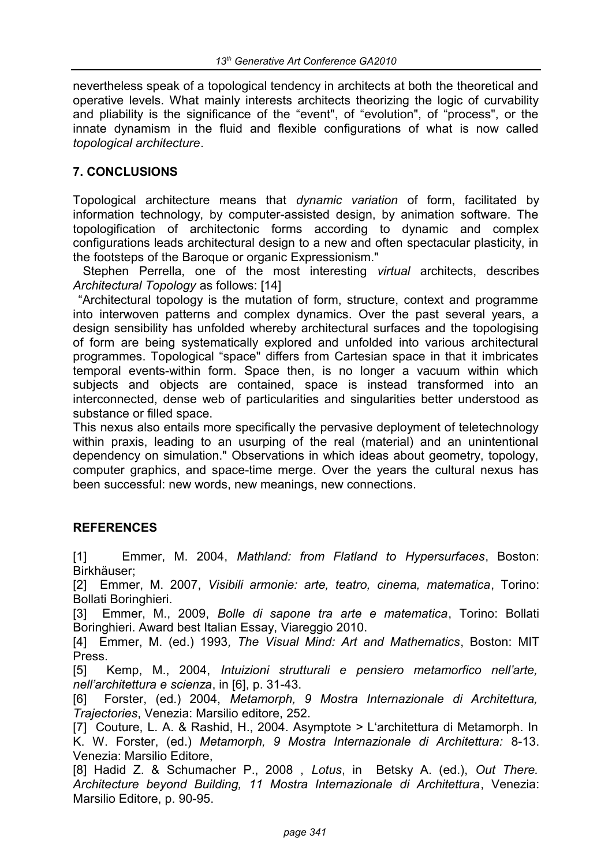nevertheless speak of a topological tendency in architects at both the theoretical and operative levels. What mainly interests architects theorizing the logic of curvability and pliability is the significance of the "event", of "evolution", of "process", or the innate dynamism in the fluid and flexible configurations of what is now called *topological architecture*.

# **7. CONCLUSIONS**

Topological architecture means that *dynamic variation* of form, facilitated by information technology, by computer-assisted design, by animation software. The topologification of architectonic forms according to dynamic and complex configurations leads architectural design to a new and often spectacular plasticity, in the footsteps of the Baroque or organic Expressionism."

 Stephen Perrella, one of the most interesting *virtual* architects, describes *Architectural Topology* as follows: [14]

 "Architectural topology is the mutation of form, structure, context and programme into interwoven patterns and complex dynamics. Over the past several years, a design sensibility has unfolded whereby architectural surfaces and the topologising of form are being systematically explored and unfolded into various architectural programmes. Topological "space" differs from Cartesian space in that it imbricates temporal events-within form. Space then, is no longer a vacuum within which subjects and objects are contained, space is instead transformed into an interconnected, dense web of particularities and singularities better understood as substance or filled space.

This nexus also entails more specifically the pervasive deployment of teletechnology within praxis, leading to an usurping of the real (material) and an unintentional dependency on simulation." Observations in which ideas about geometry, topology, computer graphics, and space-time merge. Over the years the cultural nexus has been successful: new words, new meanings, new connections.

# **REFERENCES**

[1] Emmer, M. 2004, *Mathland: from Flatland to Hypersurfaces*, Boston: Birkhäuser;

[2] Emmer, M. 2007, *Visibili armonie: arte, teatro, cinema, matematica*, Torino: Bollati Boringhieri.

[3] Emmer, M., 2009, *Bolle di sapone tra arte e matematica*, Torino: Bollati Boringhieri. Award best Italian Essay, Viareggio 2010.

[4] Emmer, M. (ed.) 1993*, The Visual Mind: Art and Mathematics*, Boston: MIT Press.

[5] Kemp, M., 2004, *Intuizioni strutturali e pensiero metamorfico nell'arte, nell'architettura e scienza*, in [6], p. 31-43.

[6] Forster, (ed.) 2004, *Metamorph, 9 Mostra Internazionale di Architettura, Trajectories*, Venezia: Marsilio editore, 252.

[7] Couture, L. A. & Rashid, H., 2004. Asymptote > L'architettura di Metamorph. In K. W. Forster, (ed.) *Metamorph, 9 Mostra Internazionale di Architettura:* 8-13. Venezia: Marsilio Editore,

[8] Hadid Z. & Schumacher P., 2008 , *Lotus*, in Betsky A. (ed.), *Out There. Architecture beyond Building, 11 Mostra Internazionale di Architettura*, Venezia: Marsilio Editore, p. 90-95.